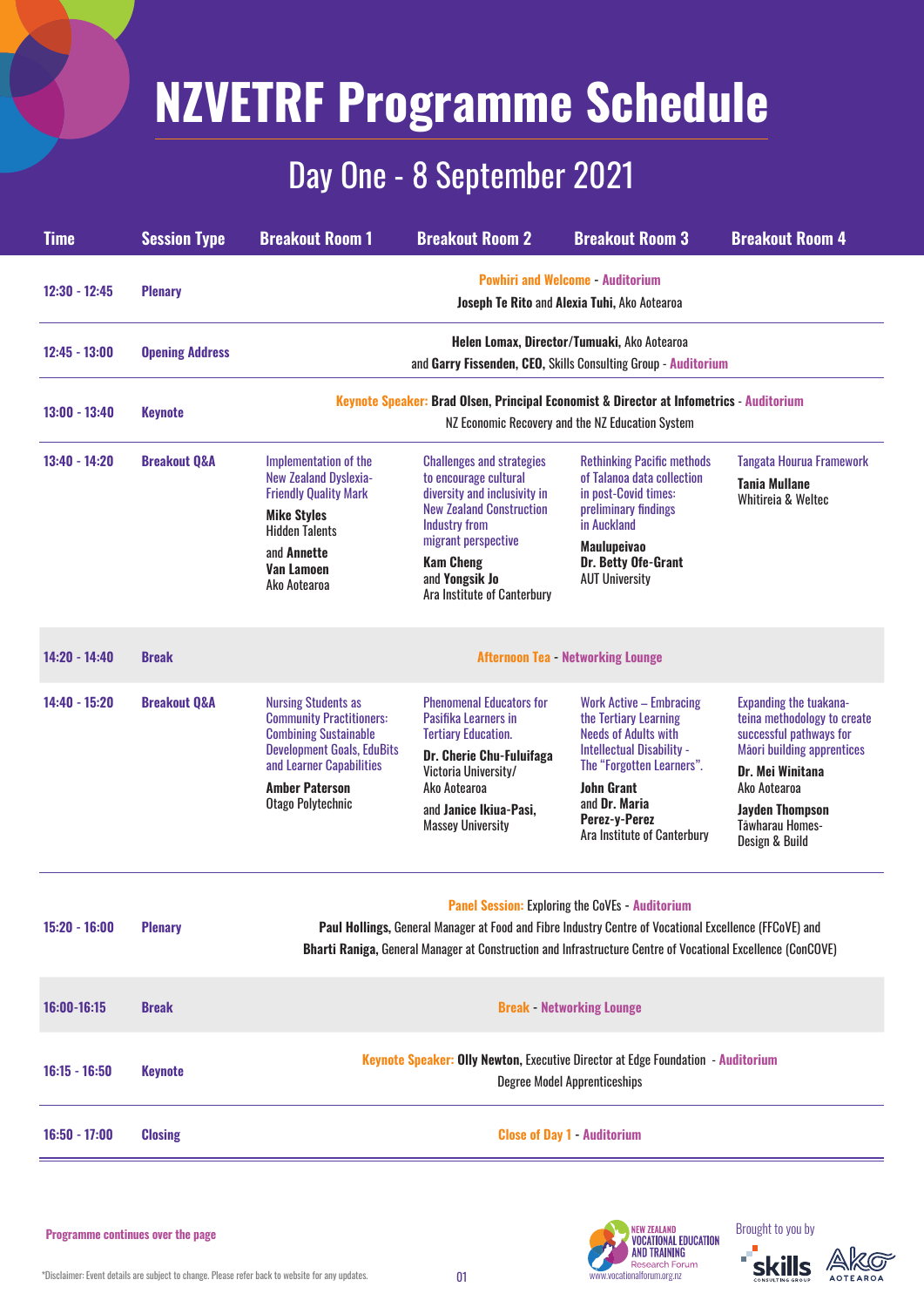# **NZVETRF Programme Schedule**

## Day One - 8 September 2021

| <b>Time</b>     | <b>Session Type</b>     | <b>Breakout Room 1</b>                                                                                                                                                                                       | <b>Breakout Room 2</b>                                                                                                                                                                                                                           | <b>Breakout Room 3</b>                                                                                                                                                                                                                 | <b>Breakout Room 4</b>                                                                                                                                                                                                          |  |
|-----------------|-------------------------|--------------------------------------------------------------------------------------------------------------------------------------------------------------------------------------------------------------|--------------------------------------------------------------------------------------------------------------------------------------------------------------------------------------------------------------------------------------------------|----------------------------------------------------------------------------------------------------------------------------------------------------------------------------------------------------------------------------------------|---------------------------------------------------------------------------------------------------------------------------------------------------------------------------------------------------------------------------------|--|
| $12:30 - 12:45$ | <b>Plenary</b>          | <b>Powhiri and Welcome - Auditorium</b><br><b>Joseph Te Rito and Alexia Tuhi, Ako Aotearoa</b>                                                                                                               |                                                                                                                                                                                                                                                  |                                                                                                                                                                                                                                        |                                                                                                                                                                                                                                 |  |
| 12:45 - 13:00   | <b>Opening Address</b>  | Helen Lomax, Director/Tumuaki, Ako Aotearoa<br>and Garry Fissenden, CEO, Skills Consulting Group - Auditorium                                                                                                |                                                                                                                                                                                                                                                  |                                                                                                                                                                                                                                        |                                                                                                                                                                                                                                 |  |
| 13:00 - 13:40   | <b>Keynote</b>          | Keynote Speaker: Brad Olsen, Principal Economist & Director at Infometrics - Auditorium<br>NZ Economic Recovery and the NZ Education System                                                                  |                                                                                                                                                                                                                                                  |                                                                                                                                                                                                                                        |                                                                                                                                                                                                                                 |  |
| 13:40 - 14:20   | <b>Breakout Q&amp;A</b> | Implementation of the<br><b>New Zealand Dyslexia-</b><br><b>Friendly Quality Mark</b><br><b>Mike Styles</b><br><b>Hidden Talents</b><br>and <b>Annette</b><br><b>Van Lamoen</b><br>Ako Aotearoa              | <b>Challenges and strategies</b><br>to encourage cultural<br>diversity and inclusivity in<br><b>New Zealand Construction</b><br><b>Industry from</b><br>migrant perspective<br><b>Kam Cheng</b><br>and Yongsik Jo<br>Ara Institute of Canterbury | <b>Rethinking Pacific methods</b><br>of Talanoa data collection<br>in post-Covid times:<br>preliminary findings<br>in Auckland<br><b>Maulupeivao</b><br>Dr. Betty Ofe-Grant<br><b>AUT University</b>                                   | <b>Tangata Hourua Framework</b><br><b>Tania Mullane</b><br>Whitireia & Weltec                                                                                                                                                   |  |
| 14:20 - 14:40   | <b>Break</b>            | <b>Afternoon Tea - Networking Lounge</b>                                                                                                                                                                     |                                                                                                                                                                                                                                                  |                                                                                                                                                                                                                                        |                                                                                                                                                                                                                                 |  |
| 14:40 - 15:20   | <b>Breakout Q&amp;A</b> | <b>Nursing Students as</b><br><b>Community Practitioners:</b><br><b>Combining Sustainable</b><br><b>Development Goals, EduBits</b><br>and Learner Capabilities<br><b>Amber Paterson</b><br>Otago Polytechnic | <b>Phenomenal Educators for</b><br>Pasifika Learners in<br><b>Tertiary Education.</b><br><b>Dr. Cherie Chu-Fuluifaga</b><br>Victoria University/<br>Ako Aotearoa<br>and Janice Ikiua-Pasi,<br><b>Massey University</b>                           | <b>Work Active - Embracing</b><br>the Tertiary Learning<br><b>Needs of Adults with</b><br>Intellectual Disability -<br>The "Forgotten Learners".<br><b>John Grant</b><br>and Dr. Maria<br>Perez-y-Perez<br>Ara Institute of Canterbury | <b>Expanding the tuakana-</b><br>teina methodology to create<br>successful pathways for<br>Māori building apprentices<br>Dr. Mei Winitana<br>Ako Aotearoa<br><b>Jayden Thompson</b><br><b>Tāwharau Homes-</b><br>Design & Build |  |

**Paul Hollings,** General Manager at Food and Fibre Industry Centre of Vocational Excellence (FFCoVE) and

**Bharti Raniga,** General Manager at Construction and Infrastructure Centre of Vocational Excellence (ConCOVE)

| 16:00-16:15     | <b>Break</b>   | <b>Break - Networking Lounge</b>                                                                                        |  |  |
|-----------------|----------------|-------------------------------------------------------------------------------------------------------------------------|--|--|
| $16:15 - 16:50$ | Keynote        | Keynote Speaker: Olly Newton, Executive Director at Edge Foundation - Auditorium<br><b>Degree Model Apprenticeships</b> |  |  |
| $16:50 - 17:00$ | <b>Closing</b> | <b>Close of Day 1 - Auditorium</b>                                                                                      |  |  |

### Brought to you by





#### **Programme continues over the page**

 $*$ Disclaimer: Event details are subject to change. Please refer back to website for any updates.  $01$